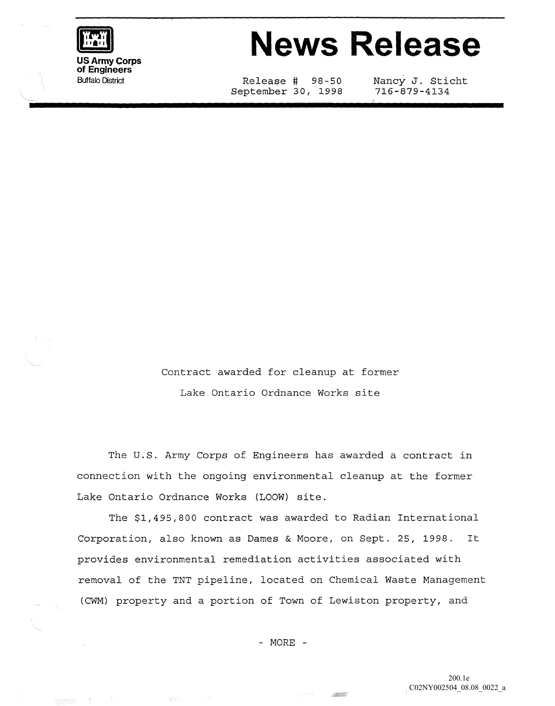

## **News Release**

Release # 98-50 September 30, 1998 Nancy J. Sticht 716-879-4134

Contract awarded for cleanup at former Lake Ontario Ordnance Works site

The U.S. Army Corps of Engineers has awarded a contract in connection with the ongoing environmental cleanup at the former Lake Ontario Ordnance Works (LOOW) site.

The \$1,495,800 contract was awarded to Radian International Corporation, also known as Dames & Moore, on Sept. 25, 1998. It provides environmental remediation activities associated with removal of the TNT pipeline, located on Chemical Waste Management (CWM) property and a portion of Town of Lewiston property, and

- MORE -